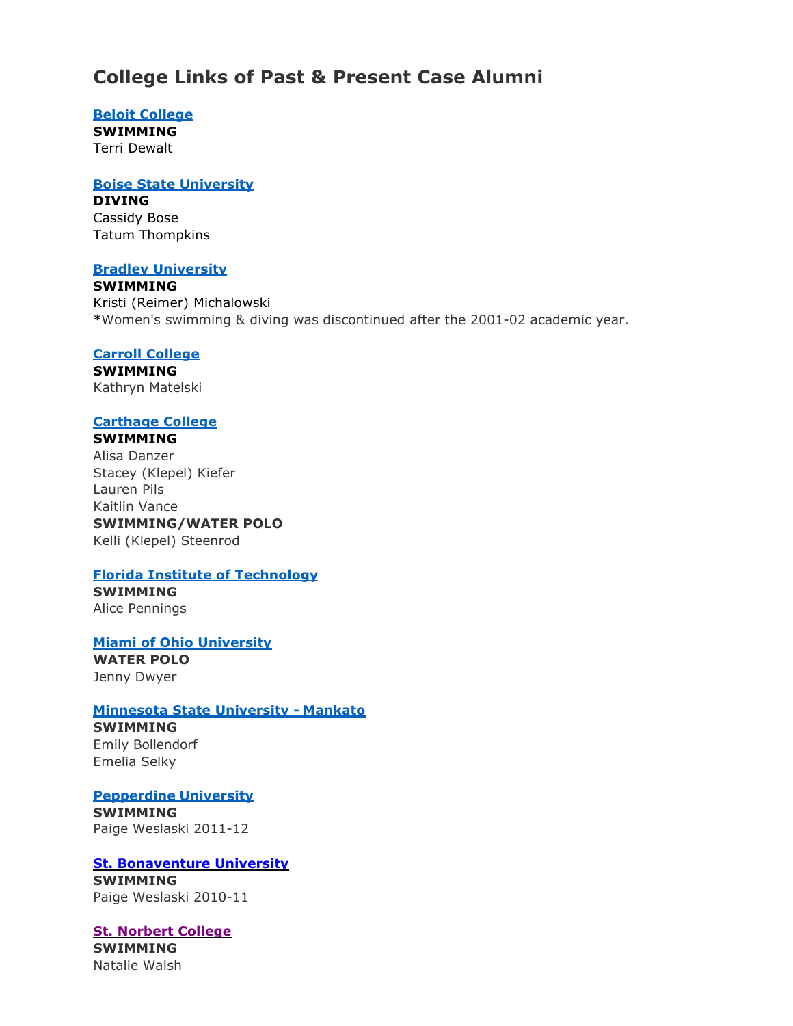# **College Links of Past & Present Case Alumni**

## **[Beloit College](https://beloitcollegeathletics.com/index.aspx?path=wswim)**

**SWIMMING**

Terri Dewalt

# **[Boise State University](https://broncosports.com/index.aspx?path=wswim)**

**DIVING**

Cassidy Bose Tatum Thompkins

## **[Bradley University](https://bradleybraves.com/)**

**SWIMMING** Kristi (Reimer) Michalowski \*Women's swimming & diving was discontinued after the 2001-02 academic year.

# **[Carroll College](http://gopios.com/index.aspx?tab=swimminganddiving2&path=wswim)**

**SWIMMING** Kathryn Matelski

# **[Carthage College](http://athletics.carthage.edu/index.aspx?path=wswim)**

#### **SWIMMING**

Alisa Danzer Stacey (Klepel) Kiefer Lauren Pils Kaitlin Vance **SWIMMING/WATER POLO** Kelli (Klepel) Steenrod

# **[Florida Institute of Technology](https://floridatechsports.com/index.aspx?path=wswim)**

**SWIMMING** Alice Pennings

# **[Miami of Ohio University](https://miamiredhawks.com/index.aspx?path=swim)**

**WATER POLO** Jenny Dwyer

# **[Minnesota State University -](http://www.msumavericks.com/index.aspx?path=wswim) Mankato**

**SWIMMING** Emily Bollendorf Emelia Selky

# **[Pepperdine](https://pepperdinewaves.com/sports/womens-swimming-and-diving) University**

**SWIMMING** Paige Weslaski 2011-12

#### **[St. Bonaventure University](https://gobonnies.com/sports/womens-swimming-and-diving?path=wswim) SWIMMING**

Paige Weslaski 2010-11

# **[St. Norbert College](https://athletics.snc.edu/sports/womens-swimming-and-diving?path=wswim)**

**SWIMMING** Natalie Walsh